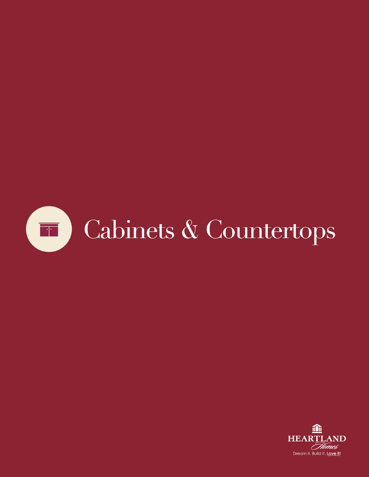